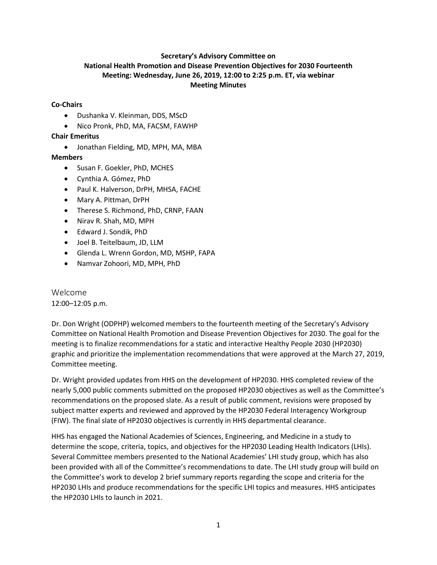## **Secretary's Advisory Committee on National Health Promotion and Disease Prevention Objectives for 2030 Fourteenth Meeting: Wednesday, June 26, 2019, 12:00 to 2:25 p.m. ET, via webinar Meeting Minutes**

### **Co-Chairs**

- Dushanka V. Kleinman, DDS, MScD
- Nico Pronk, PhD, MA, FACSM, FAWHP

#### **Chair Emeritus**

• Jonathan Fielding, MD, MPH, MA, MBA

#### **Members**

- Susan F. Goekler, PhD, MCHES
- Cynthia A. Gómez, PhD
- Paul K. Halverson, DrPH, MHSA, FACHE
- Mary A. Pittman, DrPH
- Therese S. Richmond, PhD, CRNP, FAAN
- Nirav R. Shah, MD, MPH
- Edward J. Sondik, PhD
- Joel B. Teitelbaum, JD, LLM
- Glenda L. Wrenn Gordon, MD, MSHP, FAPA
- Namvar Zohoori, MD, MPH, PhD

# Welcome

12:00–12:05 p.m.

Dr. Don Wright (ODPHP) welcomed members to the fourteenth meeting of the Secretary's Advisory Committee on National Health Promotion and Disease Prevention Objectives for 2030. The goal for the meeting is to finalize recommendations for a static and interactive Healthy People 2030 (HP2030) graphic and prioritize the implementation recommendations that were approved at the March 27, 2019, Committee meeting.

Dr. Wright provided updates from HHS on the development of HP2030. HHS completed review of the nearly 5,000 public comments submitted on the proposed HP2030 objectives as well as the Committee's recommendations on the proposed slate. As a result of public comment, revisions were proposed by subject matter experts and reviewed and approved by the HP2030 Federal Interagency Workgroup (FIW). The final slate of HP2030 objectives is currently in HHS departmental clearance.

HHS has engaged the National Academies of Sciences, Engineering, and Medicine in a study to determine the scope, criteria, topics, and objectives for the HP2030 Leading Health Indicators (LHIs). Several Committee members presented to the National Academies' LHI study group, which has also been provided with all of the Committee's recommendations to date. The LHI study group will build on the Committee's work to develop 2 brief summary reports regarding the scope and criteria for the HP2030 LHIs and produce recommendations for the specific LHI topics and measures. HHS anticipates the HP2030 LHIs to launch in 2021.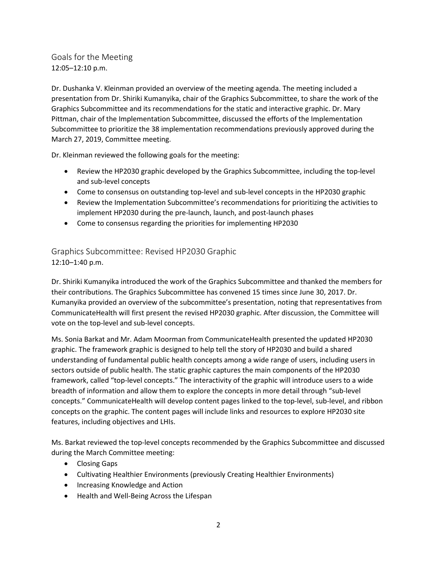Goals for the Meeting 12:05–12:10 p.m.

Dr. Dushanka V. Kleinman provided an overview of the meeting agenda. The meeting included a presentation from Dr. Shiriki Kumanyika, chair of the Graphics Subcommittee, to share the work of the Graphics Subcommittee and its recommendations for the static and interactive graphic. Dr. Mary Pittman, chair of the Implementation Subcommittee, discussed the efforts of the Implementation Subcommittee to prioritize the 38 implementation recommendations previously approved during the March 27, 2019, Committee meeting.

Dr. Kleinman reviewed the following goals for the meeting:

- Review the HP2030 graphic developed by the Graphics Subcommittee, including the top-level and sub-level concepts
- Come to consensus on outstanding top-level and sub-level concepts in the HP2030 graphic
- Review the Implementation Subcommittee's recommendations for prioritizing the activities to implement HP2030 during the pre-launch, launch, and post-launch phases
- Come to consensus regarding the priorities for implementing HP2030

Graphics Subcommittee: Revised HP2030 Graphic 12:10–1:40 p.m.

Dr. Shiriki Kumanyika introduced the work of the Graphics Subcommittee and thanked the members for their contributions. The Graphics Subcommittee has convened 15 times since June 30, 2017. Dr. Kumanyika provided an overview of the subcommittee's presentation, noting that representatives from CommunicateHealth will first present the revised HP2030 graphic. After discussion, the Committee will vote on the top-level and sub-level concepts.

Ms. Sonia Barkat and Mr. Adam Moorman from CommunicateHealth presented the updated HP2030 graphic. The framework graphic is designed to help tell the story of HP2030 and build a shared understanding of fundamental public health concepts among a wide range of users, including users in sectors outside of public health. The static graphic captures the main components of the HP2030 framework, called "top-level concepts." The interactivity of the graphic will introduce users to a wide breadth of information and allow them to explore the concepts in more detail through "sub-level concepts." CommunicateHealth will develop content pages linked to the top-level, sub-level, and ribbon concepts on the graphic. The content pages will include links and resources to explore HP2030 site features, including objectives and LHIs.

Ms. Barkat reviewed the top-level concepts recommended by the Graphics Subcommittee and discussed during the March Committee meeting:

- Closing Gaps
- Cultivating Healthier Environments (previously Creating Healthier Environments)
- Increasing Knowledge and Action
- Health and Well-Being Across the Lifespan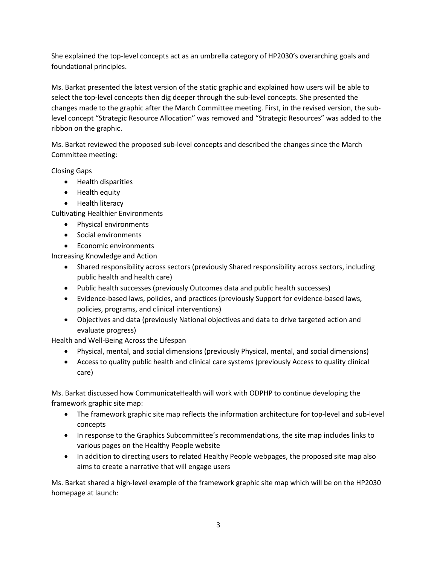She explained the top-level concepts act as an umbrella category of HP2030's overarching goals and foundational principles.

Ms. Barkat presented the latest version of the static graphic and explained how users will be able to select the top-level concepts then dig deeper through the sub-level concepts. She presented the changes made to the graphic after the March Committee meeting. First, in the revised version, the sublevel concept "Strategic Resource Allocation" was removed and "Strategic Resources" was added to the ribbon on the graphic.

Ms. Barkat reviewed the proposed sub-level concepts and described the changes since the March Committee meeting:

Closing Gaps

- Health disparities
- Health equity
- Health literacy

Cultivating Healthier Environments

- Physical environments
- Social environments
- Economic environments

Increasing Knowledge and Action

- Shared responsibility across sectors (previously Shared responsibility across sectors, including public health and health care)
- Public health successes (previously Outcomes data and public health successes)
- Evidence-based laws, policies, and practices (previously Support for evidence-based laws, policies, programs, and clinical interventions)
- Objectives and data (previously National objectives and data to drive targeted action and evaluate progress)

Health and Well-Being Across the Lifespan

- Physical, mental, and social dimensions (previously Physical, mental, and social dimensions)
- Access to quality public health and clinical care systems (previously Access to quality clinical care)

Ms. Barkat discussed how CommunicateHealth will work with ODPHP to continue developing the framework graphic site map:

- The framework graphic site map reflects the information architecture for top-level and sub-level concepts
- In response to the Graphics Subcommittee's recommendations, the site map includes links to various pages on the Healthy People website
- In addition to directing users to related Healthy People webpages, the proposed site map also aims to create a narrative that will engage users

Ms. Barkat shared a high-level example of the framework graphic site map which will be on the HP2030 homepage at launch: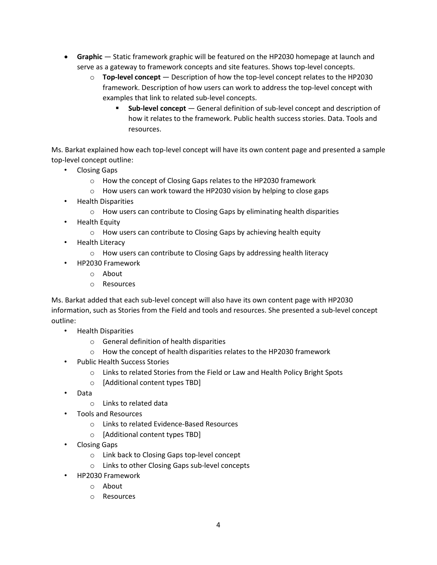- **Graphic** Static framework graphic will be featured on the HP2030 homepage at launch and serve as a gateway to framework concepts and site features. Shows top-level concepts.
	- o **Top-level concept**  Description of how the top-level concept relates to the HP2030 framework. Description of how users can work to address the top-level concept with examples that link to related sub-level concepts.
		- **Sub-level concept**  General definition of sub-level concept and description of how it relates to the framework. Public health success stories. Data. Tools and resources.

Ms. Barkat explained how each top-level concept will have its own content page and presented a sample top-level concept outline:

- Closing Gaps
	- o How the concept of Closing Gaps relates to the HP2030 framework
	- o How users can work toward the HP2030 vision by helping to close gaps
- Health Disparities
	- o How users can contribute to Closing Gaps by eliminating health disparities
- Health Equity
	- o How users can contribute to Closing Gaps by achieving health equity
- Health Literacy
	- o How users can contribute to Closing Gaps by addressing health literacy
- HP2030 Framework
	- o About
	- o Resources

Ms. Barkat added that each sub-level concept will also have its own content page with HP2030 information, such as Stories from the Field and tools and resources. She presented a sub-level concept outline:

- Health Disparities
	- o General definition of health disparities
	- $\circ$  How the concept of health disparities relates to the HP2030 framework
- Public Health Success Stories
	- o Links to related Stories from the Field or Law and Health Policy Bright Spots
	- o [Additional content types TBD]
- Data
	- o Links to related data
- Tools and Resources
	- o Links to related Evidence-Based Resources
	- o [Additional content types TBD]
- Closing Gaps
	- o Link back to Closing Gaps top-level concept
	- o Links to other Closing Gaps sub-level concepts
- HP2030 Framework
	- o About
	- o Resources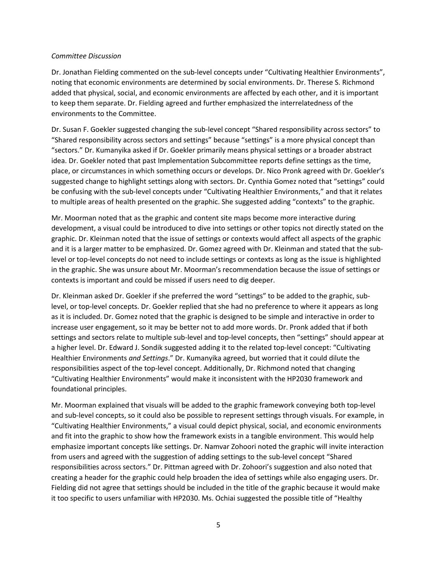#### *Committee Discussion*

Dr. Jonathan Fielding commented on the sub-level concepts under "Cultivating Healthier Environments", noting that economic environments are determined by social environments. Dr. Therese S. Richmond added that physical, social, and economic environments are affected by each other, and it is important to keep them separate. Dr. Fielding agreed and further emphasized the interrelatedness of the environments to the Committee.

Dr. Susan F. Goekler suggested changing the sub-level concept "Shared responsibility across sectors" to "Shared responsibility across sectors and settings" because "settings" is a more physical concept than "sectors." Dr. Kumanyika asked if Dr. Goekler primarily means physical settings or a broader abstract idea. Dr. Goekler noted that past Implementation Subcommittee reports define settings as the time, place, or circumstances in which something occurs or develops. Dr. Nico Pronk agreed with Dr. Goekler's suggested change to highlight settings along with sectors. Dr. Cynthia Gomez noted that "settings" could be confusing with the sub-level concepts under "Cultivating Healthier Environments," and that it relates to multiple areas of health presented on the graphic. She suggested adding "contexts" to the graphic.

Mr. Moorman noted that as the graphic and content site maps become more interactive during development, a visual could be introduced to dive into settings or other topics not directly stated on the graphic. Dr. Kleinman noted that the issue of settings or contexts would affect all aspects of the graphic and it is a larger matter to be emphasized. Dr. Gomez agreed with Dr. Kleinman and stated that the sublevel or top-level concepts do not need to include settings or contexts as long as the issue is highlighted in the graphic. She was unsure about Mr. Moorman's recommendation because the issue of settings or contexts is important and could be missed if users need to dig deeper.

Dr. Kleinman asked Dr. Goekler if she preferred the word "settings" to be added to the graphic, sublevel, or top-level concepts. Dr. Goekler replied that she had no preference to where it appears as long as it is included. Dr. Gomez noted that the graphic is designed to be simple and interactive in order to increase user engagement, so it may be better not to add more words. Dr. Pronk added that if both settings and sectors relate to multiple sub-level and top-level concepts, then "settings" should appear at a higher level. Dr. Edward J. Sondik suggested adding it to the related top-level concept: "Cultivating Healthier Environments *and Settings*." Dr. Kumanyika agreed, but worried that it could dilute the responsibilities aspect of the top-level concept. Additionally, Dr. Richmond noted that changing "Cultivating Healthier Environments" would make it inconsistent with the HP2030 framework and foundational principles.

Mr. Moorman explained that visuals will be added to the graphic framework conveying both top-level and sub-level concepts, so it could also be possible to represent settings through visuals. For example, in "Cultivating Healthier Environments," a visual could depict physical, social, and economic environments and fit into the graphic to show how the framework exists in a tangible environment. This would help emphasize important concepts like settings. Dr. Namvar Zohoori noted the graphic will invite interaction from users and agreed with the suggestion of adding settings to the sub-level concept "Shared responsibilities across sectors." Dr. Pittman agreed with Dr. Zohoori's suggestion and also noted that creating a header for the graphic could help broaden the idea of settings while also engaging users. Dr. Fielding did not agree that settings should be included in the title of the graphic because it would make it too specific to users unfamiliar with HP2030. Ms. Ochiai suggested the possible title of "Healthy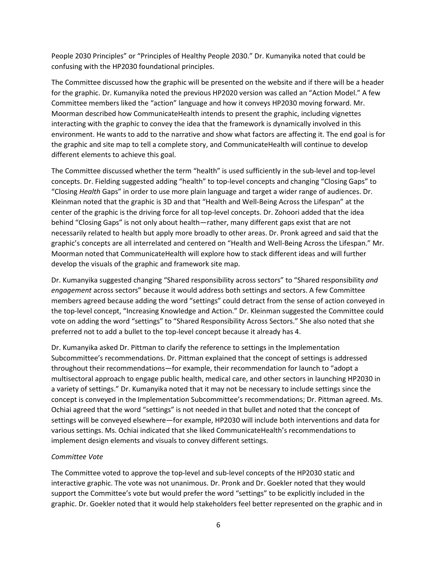People 2030 Principles" or "Principles of Healthy People 2030." Dr. Kumanyika noted that could be confusing with the HP2030 foundational principles.

The Committee discussed how the graphic will be presented on the website and if there will be a header for the graphic. Dr. Kumanyika noted the previous HP2020 version was called an "Action Model." A few Committee members liked the "action" language and how it conveys HP2030 moving forward. Mr. Moorman described how CommunicateHealth intends to present the graphic, including vignettes interacting with the graphic to convey the idea that the framework is dynamically involved in this environment. He wants to add to the narrative and show what factors are affecting it. The end goal is for the graphic and site map to tell a complete story, and CommunicateHealth will continue to develop different elements to achieve this goal.

The Committee discussed whether the term "health" is used sufficiently in the sub-level and top-level concepts. Dr. Fielding suggested adding "health" to top-level concepts and changing "Closing Gaps" to "Closing *Health* Gaps" in order to use more plain language and target a wider range of audiences. Dr. Kleinman noted that the graphic is 3D and that "Health and Well-Being Across the Lifespan" at the center of the graphic is the driving force for all top-level concepts. Dr. Zohoori added that the idea behind "Closing Gaps" is not only about health—rather, many different gaps exist that are not necessarily related to health but apply more broadly to other areas. Dr. Pronk agreed and said that the graphic's concepts are all interrelated and centered on "Health and Well-Being Across the Lifespan." Mr. Moorman noted that CommunicateHealth will explore how to stack different ideas and will further develop the visuals of the graphic and framework site map.

Dr. Kumanyika suggested changing "Shared responsibility across sectors" to "Shared responsibility *and engagement* across sectors" because it would address both settings and sectors. A few Committee members agreed because adding the word "settings" could detract from the sense of action conveyed in the top-level concept, "Increasing Knowledge and Action." Dr. Kleinman suggested the Committee could vote on adding the word "settings" to "Shared Responsibility Across Sectors." She also noted that she preferred not to add a bullet to the top-level concept because it already has 4.

Dr. Kumanyika asked Dr. Pittman to clarify the reference to settings in the Implementation Subcommittee's recommendations. Dr. Pittman explained that the concept of settings is addressed throughout their recommendations—for example, their recommendation for launch to "adopt a multisectoral approach to engage public health, medical care, and other sectors in launching HP2030 in a variety of settings." Dr. Kumanyika noted that it may not be necessary to include settings since the concept is conveyed in the Implementation Subcommittee's recommendations; Dr. Pittman agreed. Ms. Ochiai agreed that the word "settings" is not needed in that bullet and noted that the concept of settings will be conveyed elsewhere—for example, HP2030 will include both interventions and data for various settings. Ms. Ochiai indicated that she liked CommunicateHealth's recommendations to implement design elements and visuals to convey different settings.

#### *Committee Vote*

The Committee voted to approve the top-level and sub-level concepts of the HP2030 static and interactive graphic. The vote was not unanimous. Dr. Pronk and Dr. Goekler noted that they would support the Committee's vote but would prefer the word "settings" to be explicitly included in the graphic. Dr. Goekler noted that it would help stakeholders feel better represented on the graphic and in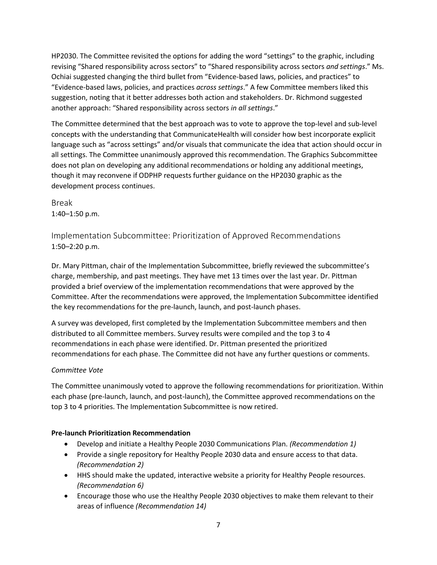HP2030. The Committee revisited the options for adding the word "settings" to the graphic, including revising "Shared responsibility across sectors" to "Shared responsibility across sectors *and settings*." Ms. Ochiai suggested changing the third bullet from "Evidence-based laws, policies, and practices" to "Evidence-based laws, policies, and practices *across settings*." A few Committee members liked this suggestion, noting that it better addresses both action and stakeholders. Dr. Richmond suggested another approach: "Shared responsibility across sectors *in all settings*."

The Committee determined that the best approach was to vote to approve the top-level and sub-level concepts with the understanding that CommunicateHealth will consider how best incorporate explicit language such as "across settings" and/or visuals that communicate the idea that action should occur in all settings. The Committee unanimously approved this recommendation. The Graphics Subcommittee does not plan on developing any additional recommendations or holding any additional meetings, though it may reconvene if ODPHP requests further guidance on the HP2030 graphic as the development process continues.

Break 1:40–1:50 p.m.

Implementation Subcommittee: Prioritization of Approved Recommendations 1:50–2:20 p.m.

Dr. Mary Pittman, chair of the Implementation Subcommittee, briefly reviewed the subcommittee's charge, membership, and past meetings. They have met 13 times over the last year. Dr. Pittman provided a brief overview of the implementation recommendations that were approved by the Committee. After the recommendations were approved, the Implementation Subcommittee identified the key recommendations for the pre-launch, launch, and post-launch phases.

A survey was developed, first completed by the Implementation Subcommittee members and then distributed to all Committee members. Survey results were compiled and the top 3 to 4 recommendations in each phase were identified. Dr. Pittman presented the prioritized recommendations for each phase. The Committee did not have any further questions or comments.

## *Committee Vote*

The Committee unanimously voted to approve the following recommendations for prioritization. Within each phase (pre-launch, launch, and post-launch), the Committee approved recommendations on the top 3 to 4 priorities. The Implementation Subcommittee is now retired.

## **Pre-launch Prioritization Recommendation**

- Develop and initiate a Healthy People 2030 Communications Plan. *(Recommendation 1)*
- Provide a single repository for Healthy People 2030 data and ensure access to that data. *(Recommendation 2)*
- HHS should make the updated, interactive website a priority for Healthy People resources. *(Recommendation 6)*
- Encourage those who use the Healthy People 2030 objectives to make them relevant to their areas of influence *(Recommendation 14)*